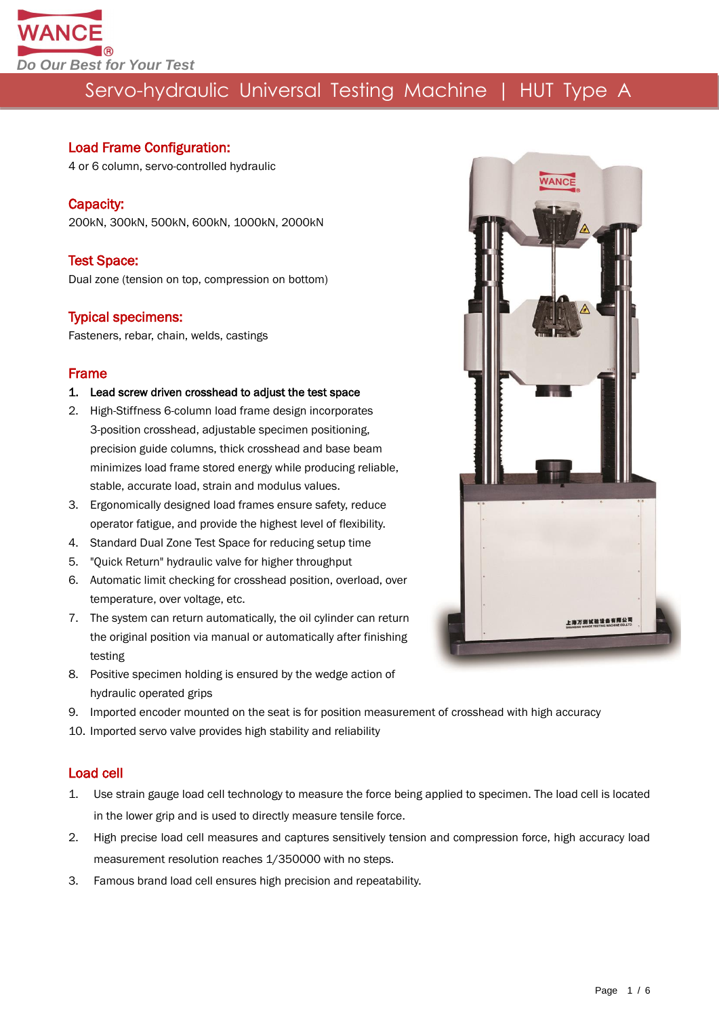

#### Load Frame Configuration:

4 or 6 column, servo-controlled hydraulic

#### Capacity:

200kN, 300kN, 500kN, 600kN, 1000kN, 2000kN

#### Test Space:

Dual zone (tension on top, compression on bottom)

#### Typical specimens:

Fasteners, rebar, chain, welds, castings

#### Frame

#### 1. Lead screw driven crosshead to adjust the test space

- 2. High-Stiffness 6-column load frame design incorporates 3-position crosshead, adjustable specimen positioning, precision guide columns, thick crosshead and base beam minimizes load frame stored energy while producing reliable, stable, accurate load, strain and modulus values.
- 3. Ergonomically designed load frames ensure safety, reduce operator fatigue, and provide the highest level of flexibility.
- 4. Standard Dual Zone Test Space for reducing setup time
- 5. "Quick Return" hydraulic valve for higher throughput
- 6. Automatic limit checking for crosshead position, overload, over temperature, over voltage, etc.
- 7. The system can return automatically, the oil cylinder can return the original position via manual or automatically after finishing testing
- 8. Positive specimen holding is ensured by the wedge action of hydraulic operated grips
- 9. Imported encoder mounted on the seat is for position measurement of crosshead with high accuracy
- 10. Imported servo valve provides high stability and reliability

#### Load cell

- 1. Use strain gauge load cell technology to measure the force being applied to specimen. The load cell is located in the lower grip and is used to directly measure tensile force.
- 2. High precise load cell measures and captures sensitively tension and compression force, high accuracy load measurement resolution reaches 1/350000 with no steps.
- 3. Famous brand load cell ensures high precision and repeatability.

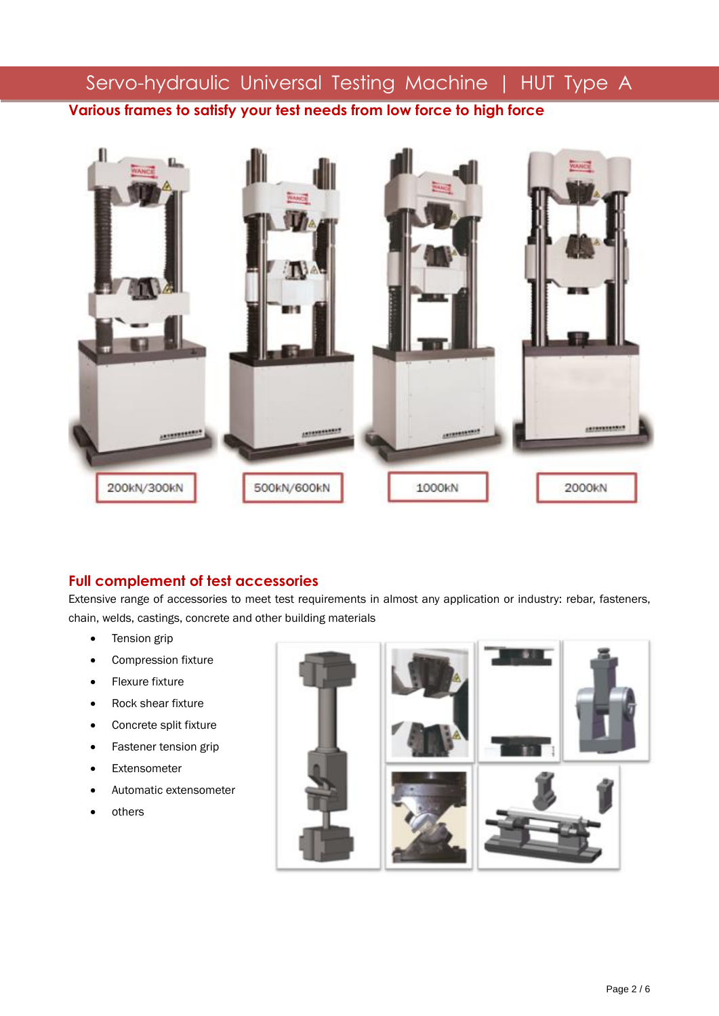# Servo-hydraulic Universal Testing Machine | HUT Type A **Various frames to satisfy your test needs from low force to high force**



### **Full complement of test accessories**

Extensive range of accessories to meet test requirements in almost any application or industry: rebar, fasteners, chain, welds, castings, concrete and other building materials

- Tension grip
- Compression fixture
- **•** Flexure fixture
- Rock shear fixture
- Concrete split fixture
- Fastener tension grip
- Extensometer
- Automatic extensometer
- others

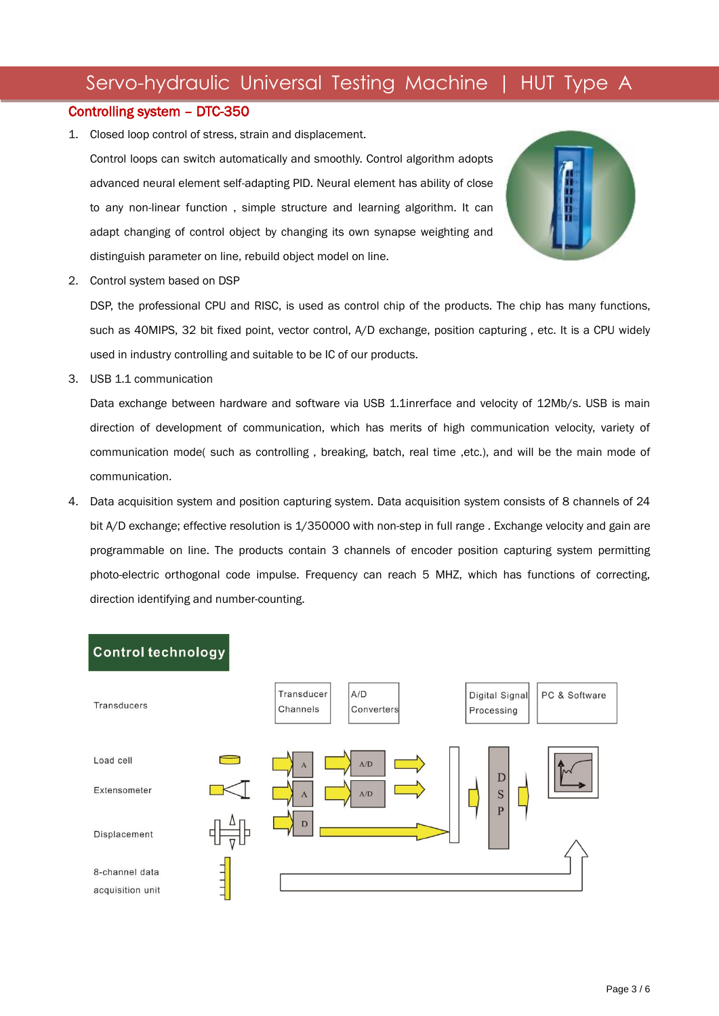#### Controlling system – DTC-350

1. Closed loop control of stress, strain and displacement.

Control loops can switch automatically and smoothly. Control algorithm adopts advanced neural element self-adapting PID. Neural element has ability of close to any non-linear function , simple structure and learning algorithm. It can adapt changing of control object by changing its own synapse weighting and distinguish parameter on line, rebuild object model on line.



2. Control system based on DSP

DSP, the professional CPU and RISC, is used as control chip of the products. The chip has many functions, such as 40MIPS, 32 bit fixed point, vector control, A/D exchange, position capturing , etc. It is a CPU widely used in industry controlling and suitable to be IC of our products.

3. USB 1.1 communication

Data exchange between hardware and software via USB 1.1inrerface and velocity of 12Mb/s. USB is main direction of development of communication, which has merits of high communication velocity, variety of communication mode( such as controlling , breaking, batch, real time ,etc.), and will be the main mode of communication.

4. Data acquisition system and position capturing system. Data acquisition system consists of 8 channels of 24 bit A/D exchange; effective resolution is 1/350000 with non-step in full range . Exchange velocity and gain are programmable on line. The products contain 3 channels of encoder position capturing system permitting photo-electric orthogonal code impulse. Frequency can reach 5 MHZ, which has functions of correcting, direction identifying and number-counting.

#### **Control technology**

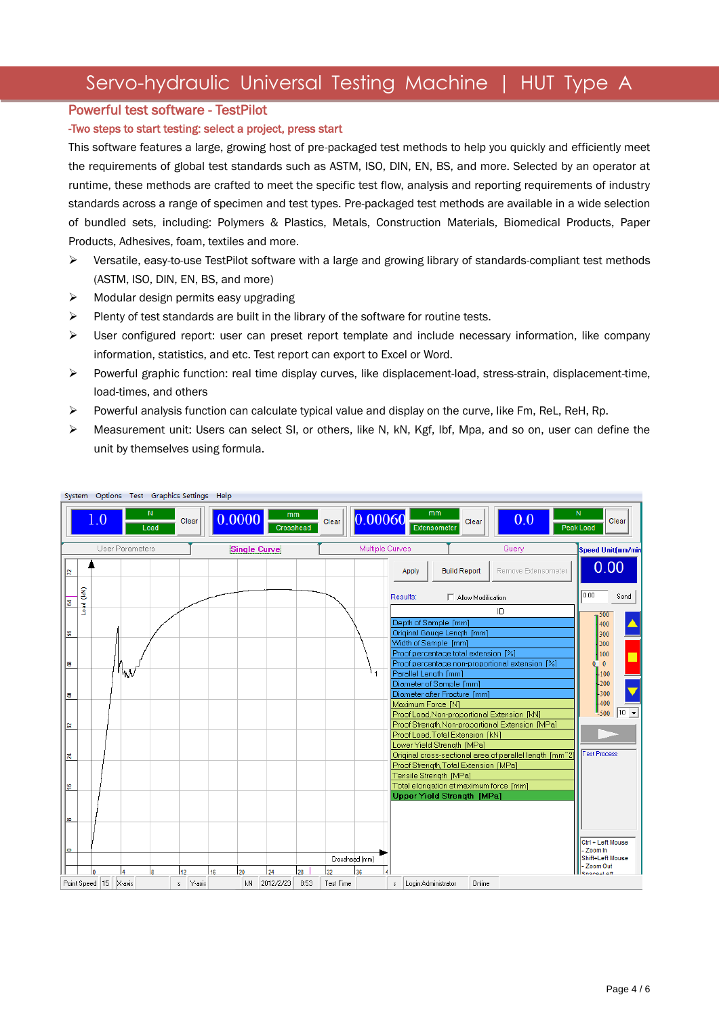#### Powerful test software - TestPilot

#### -Two steps to start testing: select a project, press start

This software features a large, growing host of pre-packaged test methods to help you quickly and efficiently meet the requirements of global test standards such as ASTM, ISO, DIN, EN, BS, and more. Selected by an operator at runtime, these methods are crafted to meet the specific test flow, analysis and reporting requirements of industry standards across a range of specimen and test types. Pre-packaged test methods are available in a wide selection of bundled sets, including: Polymers & Plastics, Metals, Construction Materials, Biomedical Products, Paper Products, Adhesives, foam, textiles and more.

- Versatile, easy-to-use TestPilot software with a large and growing library of standards-compliant test methods (ASTM, ISO, DIN, EN, BS, and more)
- $\triangleright$  Modular design permits easy upgrading
- $\triangleright$  Plenty of test standards are built in the library of the software for routine tests.
- $\triangleright$  User configured report: user can preset report template and include necessary information, like company information, statistics, and etc. Test report can export to Excel or Word.
- Powerful graphic function: real time display curves, like displacement-load, stress-strain, displacement-time, load-times, and others
- Powerful analysis function can calculate typical value and display on the curve, like Fm, ReL, ReH, Rp.
- Measurement unit: Users can select SI, or others, like N, kN, Kgf, lbf, Mpa, and so on, user can define the unit by themselves using formula.

| System Options Test Graphics Settings Help                                                                                                    |           |                           |                 |    |          |        |    |                     |                 |            |                 |                 |             |                                                                                 |                     |                    |                                                         |                                   |                    |
|-----------------------------------------------------------------------------------------------------------------------------------------------|-----------|---------------------------|-----------------|----|----------|--------|----|---------------------|-----------------|------------|-----------------|-----------------|-------------|---------------------------------------------------------------------------------|---------------------|--------------------|---------------------------------------------------------|-----------------------------------|--------------------|
| N<br>mm<br>N<br>mm<br>0.00060<br> 0.0000 <br>1.0<br>0.0<br>Clear<br>Clear<br>Clear<br>Clear<br>Extensometer<br>Load<br>Crosshead<br>Peak Load |           |                           |                 |    |          |        |    |                     |                 |            |                 |                 |             |                                                                                 |                     |                    |                                                         |                                   |                    |
|                                                                                                                                               |           |                           | User Parameters |    |          |        |    | <b>Single Curve</b> |                 |            |                 | Multiple Curves |             |                                                                                 |                     |                    | Query                                                   | <b>Speed Unit (mm/mir</b>         |                    |
| R                                                                                                                                             |           |                           |                 |    |          |        |    |                     |                 |            |                 |                 |             | Apply                                                                           | <b>Build Report</b> |                    | Remove Extensometer                                     | 0.00                              |                    |
| इ                                                                                                                                             | Load (kN) |                           |                 |    |          |        |    |                     |                 |            |                 |                 |             | Results:                                                                        |                     | Allow Modification |                                                         | 0.00                              | Send               |
| 18                                                                                                                                            |           |                           |                 |    |          |        |    |                     |                 |            |                 |                 |             | Depth of Sample [mm]<br>Original Gauge Length [mm]                              |                     |                    | ID                                                      | $-500$<br>400<br>300              |                    |
| ≌                                                                                                                                             |           |                           |                 |    |          |        |    |                     |                 |            |                 |                 |             | Width of Sample [mm]<br>Proof percentage total extension [%]                    |                     |                    | Proof percentage non-proportional extension [%]         | 200<br>100<br>$\overline{0}$<br>0 |                    |
| l₹                                                                                                                                            |           |                           | "W              |    |          |        |    |                     |                 |            |                 |                 |             | Parallel Length [mm]<br>Diameter of Sample [mm]<br>Diameter after Fracture [mm] |                     |                    |                                                         | $+100$<br>-200<br>-300            |                    |
|                                                                                                                                               |           |                           |                 |    |          |        |    |                     |                 |            |                 |                 |             | Maximum Force [N]                                                               |                     |                    | Proof Load, Non-proportional Extension [kN]             | 1400<br>$-500$                    | $10$ $\rightarrow$ |
| ∣ଛ                                                                                                                                            |           |                           |                 |    |          |        |    |                     |                 |            |                 |                 |             | Proof Load, Total Extension [kN]                                                |                     |                    | Proof Strength, Non-proportional Extension [MPa]        |                                   |                    |
| ¦₹,                                                                                                                                           |           |                           |                 |    |          |        |    |                     |                 |            |                 |                 |             | Lower Yield Strength [MPa]<br>Proof Strength, Total Extension [MPa]             |                     |                    | Original cross-sectional area of parallel length [mm^2] | <b>Test Process</b>               |                    |
| ∣≌                                                                                                                                            |           |                           |                 |    |          |        |    |                     |                 |            |                 |                 |             | Tensile Strength [MPa]                                                          |                     |                    | Total elongation at maximum force [mm]                  |                                   |                    |
| l co                                                                                                                                          |           |                           |                 |    |          |        |    |                     |                 |            |                 |                 |             | <b>Upper Yield Strength [MPa]</b>                                               |                     |                    |                                                         |                                   |                    |
| lф                                                                                                                                            |           |                           |                 |    |          |        |    |                     |                 |            |                 |                 |             |                                                                                 |                     |                    |                                                         | Ctrl + Left Mouse<br>- Zoom In    |                    |
|                                                                                                                                               |           |                           |                 |    |          |        |    |                     |                 |            | Crosshead (mm)  |                 |             |                                                                                 |                     |                    |                                                         | Shift+Left Mouse<br>- Zoom Out    |                    |
|                                                                                                                                               | I٥        | Point Speed   15   X-axis | l4              | l8 | 12<br>s. | Y-axis | 16 | 20<br>kN            | 24<br>2012/2/23 | 28<br>8:53 | 32<br>Test Time | 36              | $\mathbb S$ | Login:Administrator                                                             |                     | Online             |                                                         | Snace-Left                        |                    |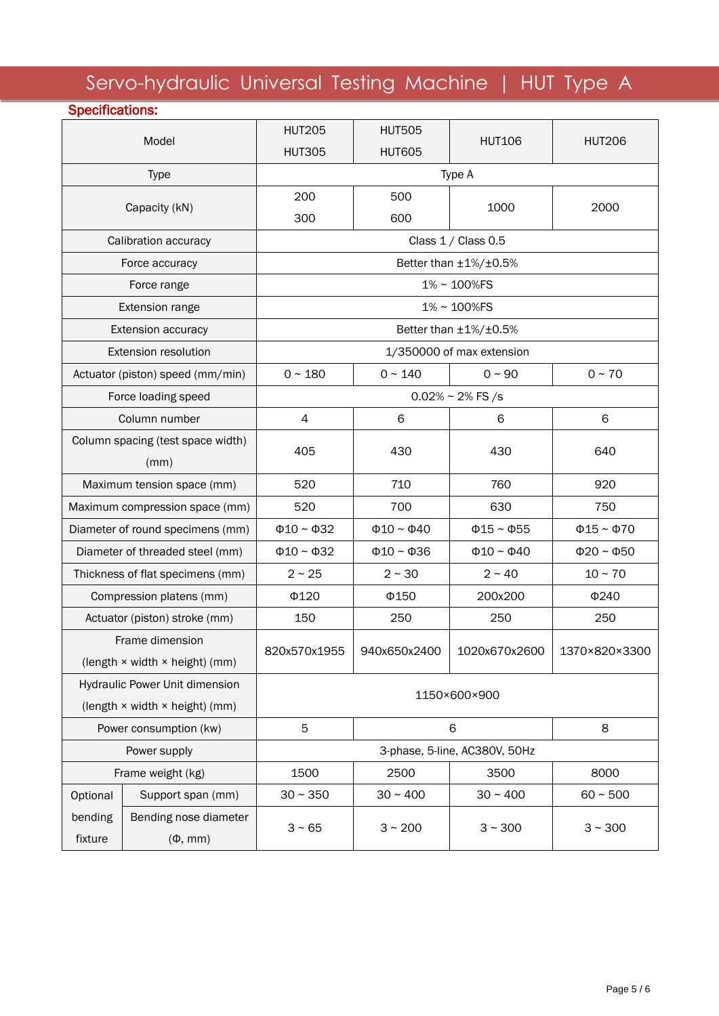| <b>Specifications:</b> |                                                                  |                                |                                |                       |                       |  |  |  |  |
|------------------------|------------------------------------------------------------------|--------------------------------|--------------------------------|-----------------------|-----------------------|--|--|--|--|
|                        | Model                                                            | <b>HUT205</b><br><b>HUT305</b> | <b>HUT505</b><br><b>HUT605</b> | <b>HUT106</b>         | <b>HUT206</b>         |  |  |  |  |
|                        | <b>Type</b>                                                      | Type A                         |                                |                       |                       |  |  |  |  |
|                        | Capacity (kN)                                                    | 200<br>300                     | 500<br>600                     | 1000                  | 2000                  |  |  |  |  |
|                        | Calibration accuracy                                             | Class 1 / Class 0.5            |                                |                       |                       |  |  |  |  |
|                        | Force accuracy                                                   | Better than ±1%/±0.5%          |                                |                       |                       |  |  |  |  |
|                        | Force range                                                      | 1%~100%FS                      |                                |                       |                       |  |  |  |  |
|                        | Extension range                                                  |                                |                                | 1%~100%FS             |                       |  |  |  |  |
|                        | <b>Extension accuracy</b>                                        |                                |                                | Better than ±1%/±0.5% |                       |  |  |  |  |
|                        | Extension resolution                                             | 1/350000 of max extension      |                                |                       |                       |  |  |  |  |
|                        | Actuator (piston) speed (mm/min)                                 | $0 - 180$                      | $0 \sim 140$                   | $0 - 90$              | $0 - 70$              |  |  |  |  |
|                        | Force loading speed                                              |                                | $0.02\% \sim 2\%$ FS /s        |                       |                       |  |  |  |  |
|                        | Column number                                                    | $\overline{4}$                 | 6                              | 6                     | 6                     |  |  |  |  |
|                        | Column spacing (test space width)<br>(mm)                        | 405                            | 430                            | 430                   | 640                   |  |  |  |  |
|                        | Maximum tension space (mm)                                       | 520                            | 710<br>760                     |                       | 920                   |  |  |  |  |
|                        | Maximum compression space (mm)                                   | 520                            | 700                            | 630                   | 750                   |  |  |  |  |
|                        | Diameter of round specimens (mm)                                 | $\Phi$ 10 ~ $\Phi$ 32          | $\Phi$ 10 ~ $\Phi$ 40          | $\Phi$ 15 ~ $\Phi$ 55 | $\Phi$ 15 ~ $\Phi$ 70 |  |  |  |  |
|                        | Diameter of threaded steel (mm)                                  | $\Phi$ 10 ~ $\Phi$ 32          | $\Phi$ 10 ~ $\Phi$ 36          | $\Phi$ 10 ~ $\Phi$ 40 | $\Phi$ 20 ~ $\Phi$ 50 |  |  |  |  |
|                        | Thickness of flat specimens (mm)                                 | $2 \sim 25$                    | $2 \sim 30$                    | $2 \sim 40$           | $10 - 70$             |  |  |  |  |
|                        | Compression platens (mm)                                         | $\Phi$ 120                     | Φ150                           | 200x200               | $\Phi$ 240            |  |  |  |  |
|                        | Actuator (piston) stroke (mm)                                    | 150                            | 250                            | 250                   | 250                   |  |  |  |  |
|                        | Frame dimension<br>(length × width × height) (mm)                | 820x570x1955                   | 940x650x2400                   | 1020x670x2600         | 1370×820×3300         |  |  |  |  |
|                        | Hydraulic Power Unit dimension<br>(length × width × height) (mm) | 1150×600×900                   |                                |                       |                       |  |  |  |  |
|                        | Power consumption (kw)                                           | 5                              | 8                              |                       |                       |  |  |  |  |
|                        | Power supply                                                     | 3-phase, 5-line, AC380V, 50Hz  |                                |                       |                       |  |  |  |  |
|                        | Frame weight (kg)                                                | 1500                           | 2500                           | 3500                  | 8000                  |  |  |  |  |
| Optional               | Support span (mm)                                                | $30 - 350$                     | $30 - 400$                     | $30 - 400$            | $60 - 500$            |  |  |  |  |
| bending<br>fixture     | Bending nose diameter<br>$(\Phi,$ mm)                            | $3 - 65$                       | 3 × 200                        | $3 - 300$             | $3 - 300$             |  |  |  |  |